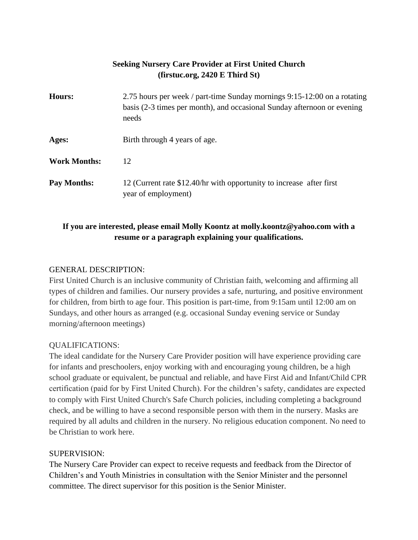# **Seeking Nursery Care Provider at First United Church (firstuc.org, 2420 E Third St)**

| <b>Hours:</b>       | 2.75 hours per week / part-time Sunday mornings 9:15-12:00 on a rotating<br>basis (2-3 times per month), and occasional Sunday afternoon or evening<br>needs |
|---------------------|--------------------------------------------------------------------------------------------------------------------------------------------------------------|
| Ages:               | Birth through 4 years of age.                                                                                                                                |
| <b>Work Months:</b> | 12                                                                                                                                                           |
| Pay Months:         | 12 (Current rate \$12.40/hr with opportunity to increase after first<br>year of employment)                                                                  |

# **If you are interested, please email Molly Koontz at molly.koontz@yahoo.com with a resume or a paragraph explaining your qualifications.**

### GENERAL DESCRIPTION:

First United Church is an inclusive community of Christian faith, welcoming and affirming all types of children and families. Our nursery provides a safe, nurturing, and positive environment for children, from birth to age four. This position is part-time, from 9:15am until 12:00 am on Sundays, and other hours as arranged (e.g. occasional Sunday evening service or Sunday morning/afternoon meetings)

### QUALIFICATIONS:

The ideal candidate for the Nursery Care Provider position will have experience providing care for infants and preschoolers, enjoy working with and encouraging young children, be a high school graduate or equivalent, be punctual and reliable, and have First Aid and Infant/Child CPR certification (paid for by First United Church). For the children's safety, candidates are expected to comply with First United Church's Safe Church policies, including completing a background check, and be willing to have a second responsible person with them in the nursery. Masks are required by all adults and children in the nursery. No religious education component. No need to be Christian to work here.

### SUPERVISION:

The Nursery Care Provider can expect to receive requests and feedback from the Director of Children's and Youth Ministries in consultation with the Senior Minister and the personnel committee. The direct supervisor for this position is the Senior Minister.